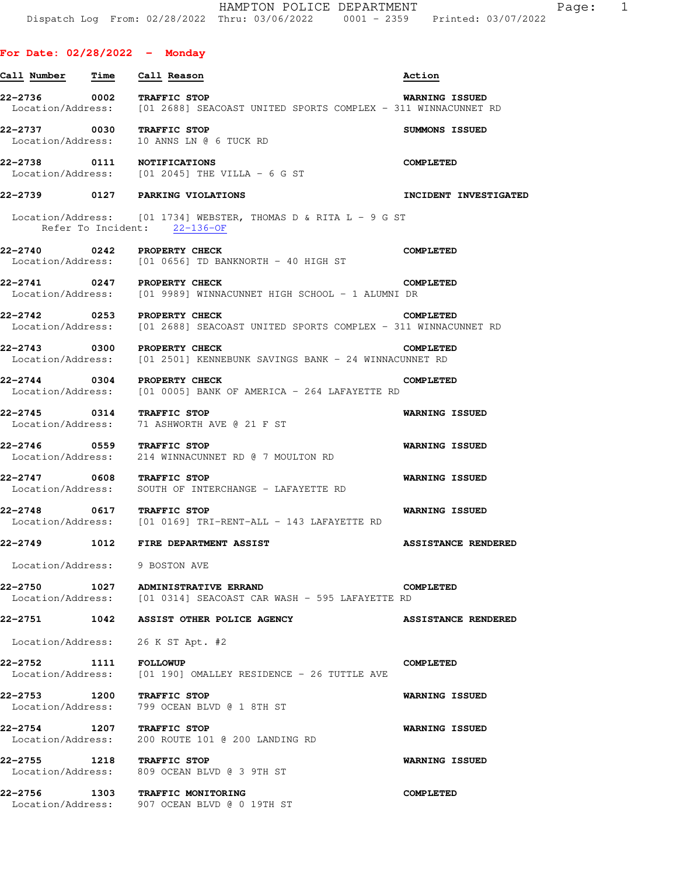## **For Date: 02/28/2022 - Monday**

| Call Number                 | Time | Call Reason                                                                                            | Action                     |
|-----------------------------|------|--------------------------------------------------------------------------------------------------------|----------------------------|
| 22-2736 0002 TRAFFIC STOP   |      | Location/Address: [01 2688] SEACOAST UNITED SPORTS COMPLEX - 311 WINNACUNNET RD                        | <b>WARNING ISSUED</b>      |
| 22-2737 0030 TRAFFIC STOP   |      | Location/Address: 10 ANNS LN @ 6 TUCK RD                                                               | SUMMONS ISSUED             |
| 22-2738 0111 NOTIFICATIONS  |      | Location/Address: $[01 2045]$ THE VILLA - 6 G ST                                                       | <b>COMPLETED</b>           |
|                             |      | 22-2739 0127 PARKING VIOLATIONS                                                                        | INCIDENT INVESTIGATED      |
|                             |      | Location/Address: $[01 1734]$ WEBSTER, THOMAS D & RITA L - 9 G ST<br>Refer To Incident: $22-136-OF$    |                            |
| 22-2740 0242 PROPERTY CHECK |      |                                                                                                        | <b>COMPLETED</b>           |
|                             |      | $Location/Address:$ [01 0656] TD BANKNORTH - 40 HIGH ST                                                |                            |
| 22-2741 0247 PROPERTY CHECK |      | Location/Address: [01 9989] WINNACUNNET HIGH SCHOOL - 1 ALUMNI DR                                      | <b>COMPLETED</b>           |
| 22-2742 0253 PROPERTY CHECK |      |                                                                                                        | <b>COMPLETED</b>           |
|                             |      | Location/Address: [01 2688] SEACOAST UNITED SPORTS COMPLEX - 311 WINNACUNNET RD                        |                            |
| 22-2743 0300 PROPERTY CHECK |      | Location/Address: [01 2501] KENNEBUNK SAVINGS BANK - 24 WINNACUNNET RD                                 | <b>COMPLETED</b>           |
|                             |      |                                                                                                        |                            |
| 22-2744 0304 PROPERTY CHECK |      | Location/Address: [01 0005] BANK OF AMERICA - 264 LAFAYETTE RD                                         | <b>COMPLETED</b>           |
|                             |      | 22-2745 0314 TRAFFIC STOP<br>Location/Address: 71 ASHWORTH AVE @ 21 F ST                               | <b>WARNING ISSUED</b>      |
| 22-2746 0559 TRAFFIC STOP   |      | Location/Address: 214 WINNACUNNET RD @ 7 MOULTON RD                                                    | <b>WARNING ISSUED</b>      |
| 22-2747 0608 TRAFFIC STOP   |      | Location/Address: SOUTH OF INTERCHANGE - LAFAYETTE RD                                                  | <b>WARNING ISSUED</b>      |
| 22-2748 0617 TRAFFIC STOP   |      | Location/Address: [01 0169] TRI-RENT-ALL - 143 LAFAYETTE RD                                            | <b>WARNING ISSUED</b>      |
| 22-2749                     |      | 1012 FIRE DEPARTMENT ASSIST                                                                            | <b>ASSISTANCE RENDERED</b> |
| Location/Address:           |      | 9 BOSTON AVE                                                                                           |                            |
|                             |      | 22-2750 1027 ADMINISTRATIVE ERRAND<br>Location/Address: [01 0314] SEACOAST CAR WASH - 595 LAFAYETTE RD | COMPLETED                  |
|                             |      | 22-2751 1042 ASSIST OTHER POLICE AGENCY                                                                | <b>ASSISTANCE RENDERED</b> |
|                             |      | Location/Address: 26 K ST Apt. #2                                                                      |                            |
| 22-2752 1111 FOLLOWUP       |      | Location/Address: [01 190] OMALLEY RESIDENCE - 26 TUTTLE AVE                                           | <b>COMPLETED</b>           |
| 22-2753 1200 TRAFFIC STOP   |      | Location/Address: 799 OCEAN BLVD @ 1 8TH ST                                                            | <b>WARNING ISSUED</b>      |
| 22-2754 1207 TRAFFIC STOP   |      | Location/Address: 200 ROUTE 101 @ 200 LANDING RD                                                       | <b>WARNING ISSUED</b>      |
| 22-2755 1218 TRAFFIC STOP   |      | Location/Address: 809 OCEAN BLVD @ 3 9TH ST                                                            | <b>WARNING ISSUED</b>      |
|                             |      | 22-2756 1303 TRAFFIC MONITORING<br>Location/Address: 907 OCEAN BLVD @ 0 19TH ST                        | <b>COMPLETED</b>           |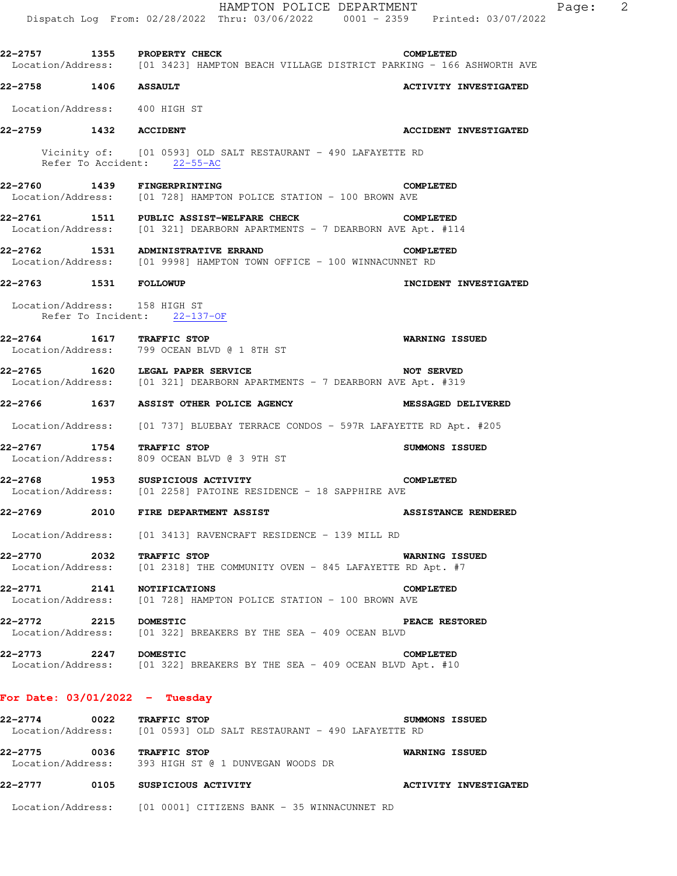|                                  | HAMPTON POLICE DEPARTMENT<br>Dispatch Log From: 02/28/2022 Thru: 03/06/2022 0001 - 2359 Printed: 03/07/2022                    |                              | Page: | - 2 |
|----------------------------------|--------------------------------------------------------------------------------------------------------------------------------|------------------------------|-------|-----|
|                                  | 22-2757 1355 PROPERTY CHECK COMPLETED<br>Location/Address: [01 3423] HAMPTON BEACH VILLAGE DISTRICT PARKING - 166 ASHWORTH AVE |                              |       |     |
| 22-2758 1406 ASSAULT             |                                                                                                                                | <b>ACTIVITY INVESTIGATED</b> |       |     |
| Location/Address: 400 HIGH ST    |                                                                                                                                |                              |       |     |
| 22-2759 1432 ACCIDENT            |                                                                                                                                | <b>ACCIDENT INVESTIGATED</b> |       |     |
|                                  | Vicinity of: [01 0593] OLD SALT RESTAURANT - 490 LAFAYETTE RD<br>Refer To Accident: 22-55-AC                                   |                              |       |     |
|                                  | 22-2760 1439 FINGERPRINTING<br>Location/Address: [01 728] HAMPTON POLICE STATION - 100 BROWN AVE                               | <b>COMPLETED</b>             |       |     |
|                                  | 22-2761 1511 PUBLIC ASSIST-WELFARE CHECK<br>Location/Address: [01 321] DEARBORN APARTMENTS - 7 DEARBORN AVE Apt. #114          | COMPLETED                    |       |     |
|                                  | 22-2762 1531 ADMINISTRATIVE ERRAND<br>Location/Address: [01 9998] HAMPTON TOWN OFFICE - 100 WINNACUNNET RD                     | <b>COMPLETED</b>             |       |     |
| 22-2763 1531 FOLLOWUP            |                                                                                                                                | INCIDENT INVESTIGATED        |       |     |
| Location/Address: 158 HIGH ST    | Refer To Incident: 22-137-OF                                                                                                   |                              |       |     |
| 22-2764 1617 TRAFFIC STOP        | Location/Address: 799 OCEAN BLVD @ 1 8TH ST                                                                                    | <b>WARNING ISSUED</b>        |       |     |
|                                  | 22-2765 1620 LEGAL PAPER SERVICE<br>Location/Address: [01 321] DEARBORN APARTMENTS - 7 DEARBORN AVE Apt. #319                  | <b>NOT SERVED</b>            |       |     |
|                                  | 22-2766 1637 ASSIST OTHER POLICE AGENCY                                                                                        | <b>MESSAGED DELIVERED</b>    |       |     |
|                                  | Location/Address: [01 737] BLUEBAY TERRACE CONDOS - 597R LAFAYETTE RD Apt. #205                                                |                              |       |     |
| 22-2767 1754 TRAFFIC STOP        | Location/Address: 809 OCEAN BLVD @ 3 9TH ST                                                                                    | SUMMONS ISSUED               |       |     |
|                                  | 22-2768 1953 SUSPICIOUS ACTIVITY<br>Location/Address: [01 2258] PATOINE RESIDENCE - 18 SAPPHIRE AVE                            | <b>COMPLETED</b>             |       |     |
|                                  | 22-2769 2010 FIRE DEPARTMENT ASSIST                                                                                            | <b>ASSISTANCE RENDERED</b>   |       |     |
|                                  | Location/Address: [01 3413] RAVENCRAFT RESIDENCE - 139 MILL RD                                                                 |                              |       |     |
| 22-2770 2032                     | TRAFFIC STOP<br>Location/Address: [01 2318] THE COMMUNITY OVEN - 845 LAFAYETTE RD Apt. #7                                      | <b>WARNING ISSUED</b>        |       |     |
| 22-2771                          | 2141 NOTIFICATIONS<br>Location/Address: [01 728] HAMPTON POLICE STATION - 100 BROWN AVE                                        | <b>COMPLETED</b>             |       |     |
| 22-2772 2215 DOMESTIC            | Location/Address: [01 322] BREAKERS BY THE SEA - 409 OCEAN BLVD                                                                | PEACE RESTORED               |       |     |
| 22–2773                          | 2247 DOMESTIC<br>Location/Address: [01 322] BREAKERS BY THE SEA - 409 OCEAN BLVD Apt. #10                                      | <b>COMPLETED</b>             |       |     |
| For Date: $03/01/2022 -$ Tuesday |                                                                                                                                |                              |       |     |
| 22-2774 0022 TRAFFIC STOP        |                                                                                                                                | SUMMONS ISSUED               |       |     |

 Location/Address: [01 0593] OLD SALT RESTAURANT - 490 LAFAYETTE RD **22-2775 0036 TRAFFIC STOP WARNING ISSUED**  Location/Address: 393 HIGH ST @ 1 DUNVEGAN WOODS DR **22-2777 0105 SUSPICIOUS ACTIVITY ACTIVITY INVESTIGATED** 

Location/Address: [01 0001] CITIZENS BANK - 35 WINNACUNNET RD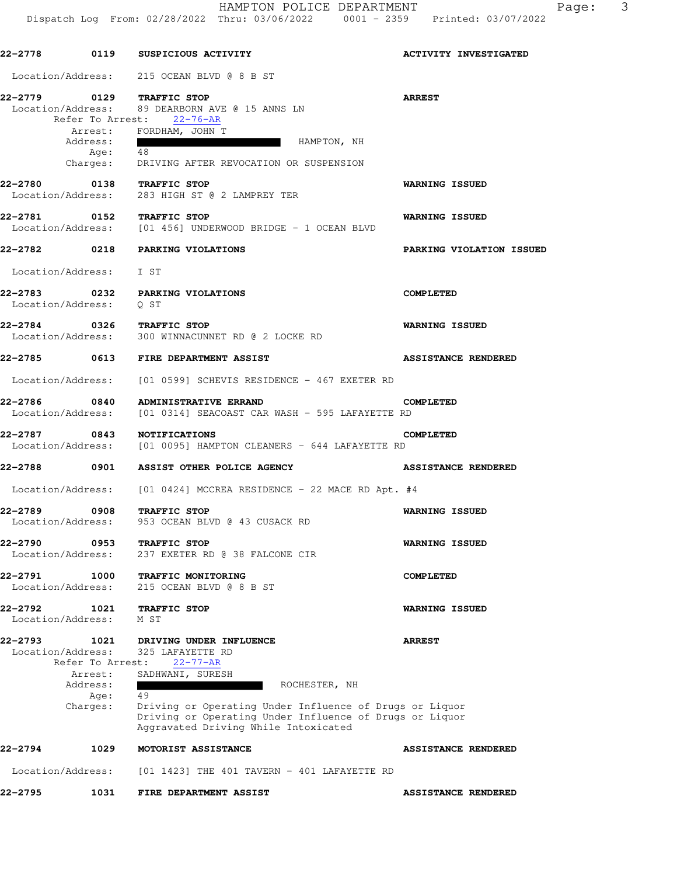| 22–2778 |                                                                                          | 0119 SUSPICIOUS ACTIVITY                                                                                                                                                                                                                                               | <b>ACTIVITY INVESTIGATED</b> |
|---------|------------------------------------------------------------------------------------------|------------------------------------------------------------------------------------------------------------------------------------------------------------------------------------------------------------------------------------------------------------------------|------------------------------|
|         |                                                                                          | Location/Address: 215 OCEAN BLVD @ 8 B ST                                                                                                                                                                                                                              |                              |
|         | Address:<br>Age: $\overline{48}$                                                         | 22-2779 0129 TRAFFIC STOP<br>Location/Address: 89 DEARBORN AVE @ 15 ANNS LN<br>Refer To Arrest: 22-76-AR<br>Arrest: FORDHAM, JOHN T<br>HAMPTON, NH<br>Charges: DRIVING AFTER REVOCATION OR SUSPENSION                                                                  | <b>ARREST</b>                |
|         |                                                                                          | 22-2780 0138 TRAFFIC STOP<br>Location/Address: 283 HIGH ST @ 2 LAMPREY TER                                                                                                                                                                                             | WARNING ISSUED               |
|         |                                                                                          | 22-2781 0152 TRAFFIC STOP<br>Location/Address: [01 456] UNDERWOOD BRIDGE - 1 OCEAN BLVD                                                                                                                                                                                | <b>WARNING ISSUED</b>        |
|         |                                                                                          | 22-2782 0218 PARKING VIOLATIONS                                                                                                                                                                                                                                        | PARKING VIOLATION ISSUED     |
|         | Location/Address: I ST                                                                   |                                                                                                                                                                                                                                                                        |                              |
|         | Location/Address: 0 ST                                                                   | 22-2783 0232 PARKING VIOLATIONS                                                                                                                                                                                                                                        | <b>COMPLETED</b>             |
|         |                                                                                          | 22-2784 0326 TRAFFIC STOP<br>Location/Address: 300 WINNACUNNET RD @ 2 LOCKE RD                                                                                                                                                                                         | <b>WARNING ISSUED</b>        |
|         |                                                                                          | 22-2785 0613 FIRE DEPARTMENT ASSIST                                                                                                                                                                                                                                    | <b>ASSISTANCE RENDERED</b>   |
|         |                                                                                          | Location/Address: [01 0599] SCHEVIS RESIDENCE - 467 EXETER RD                                                                                                                                                                                                          |                              |
|         |                                                                                          | 22-2786 0840 ADMINISTRATIVE ERRAND CONDECT 2786 0840 CONTINUISTRATIVE ERRAND CONTRACT ON A MASH - 595 LAFAYETTE RD                                                                                                                                                     | <b>COMPLETED</b>             |
|         |                                                                                          | 22-2787 0843 NOTIFICATIONS C<br>Location/Address: [01 0095] HAMPTON CLEANERS - 644 LAFAYETTE RD                                                                                                                                                                        | <b>COMPLETED</b>             |
|         |                                                                                          | 22-2788 0901 ASSIST OTHER POLICE AGENCY                                                                                                                                                                                                                                | <b>ASSISTANCE RENDERED</b>   |
|         |                                                                                          | Location/Address: [01 0424] MCCREA RESIDENCE - 22 MACE RD Apt. #4                                                                                                                                                                                                      |                              |
| 22-2789 |                                                                                          | 0908 TRAFFIC STOP<br>Location/Address: 953 OCEAN BLVD @ 43 CUSACK RD                                                                                                                                                                                                   | WARNING ISSUED               |
| 22-2790 | 0953<br>Location/Address:                                                                | <b>TRAFFIC STOP</b><br>237 EXETER RD @ 38 FALCONE CIR                                                                                                                                                                                                                  | WARNING ISSUED               |
| 22-2791 | 1000<br>Location/Address:                                                                | TRAFFIC MONITORING<br>215 OCEAN BLVD @ 8 B ST                                                                                                                                                                                                                          | <b>COMPLETED</b>             |
| 22-2792 | 1021<br>Location/Address:                                                                | TRAFFIC STOP<br>M ST                                                                                                                                                                                                                                                   | WARNING ISSUED               |
| 22–2793 | 1021<br>Location/Address:<br>Refer To Arrest:<br>Arrest:<br>Address:<br>Age:<br>Charges: | DRIVING UNDER INFLUENCE<br>325 LAFAYETTE RD<br>$22 - 77 - AR$<br>SADHWANI, SURESH<br>ROCHESTER, NH<br>49<br>Driving or Operating Under Influence of Drugs or Liquor<br>Driving or Operating Under Influence of Drugs or Liquor<br>Aggravated Driving While Intoxicated | <b>ARREST</b>                |
| 22–2794 | 1029                                                                                     | MOTORIST ASSISTANCE                                                                                                                                                                                                                                                    | <b>ASSISTANCE RENDERED</b>   |
|         | Location/Address:                                                                        | $[01 1423]$ THE 401 TAVERN - 401 LAFAYETTE RD                                                                                                                                                                                                                          |                              |
| 22–2795 | 1031                                                                                     | FIRE DEPARTMENT ASSIST                                                                                                                                                                                                                                                 | <b>ASSISTANCE RENDERED</b>   |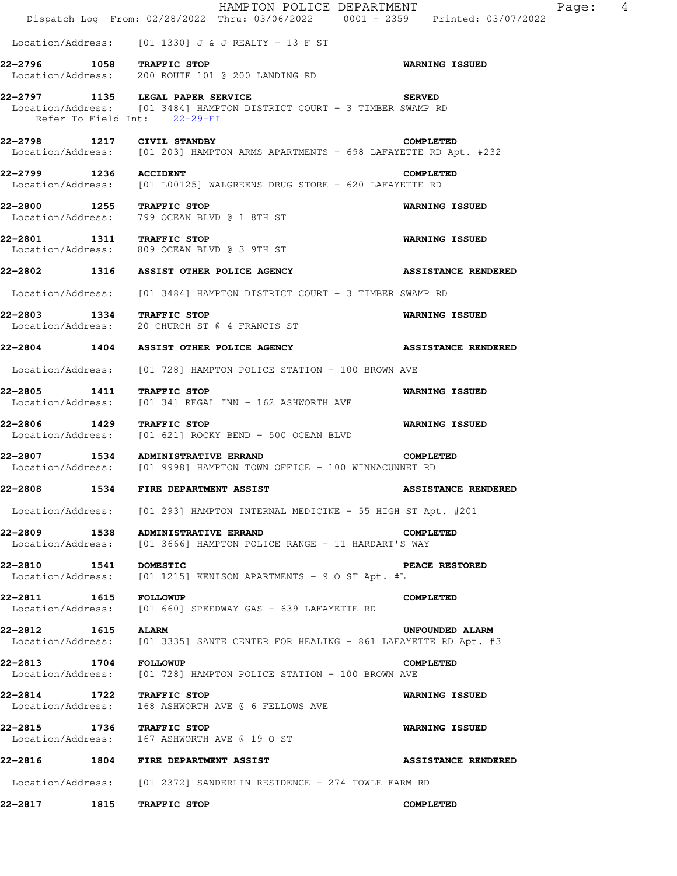|                                                                  | HAMPTON POLICE DEPARTMENT<br>Dispatch Log From: 02/28/2022 Thru: 03/06/2022 0001 - 2359 Printed: 03/07/2022 | - 4<br>Page:               |
|------------------------------------------------------------------|-------------------------------------------------------------------------------------------------------------|----------------------------|
|                                                                  | Location/Address: $[01 \t1330]$ J & J REALTY - 13 F ST                                                      |                            |
| 1058 TRAFFIC STOP<br>22-2796                                     | Location/Address: 200 ROUTE 101 @ 200 LANDING RD                                                            | <b>WARNING ISSUED</b>      |
| 22-2797 1135 LEGAL PAPER SERVICE<br>Refer To Field Int: 22-29-FI | Location/Address: [01 3484] HAMPTON DISTRICT COURT - 3 TIMBER SWAMP RD                                      | <b>SERVED</b>              |
| 22-2798 1217 CIVIL STANDBY                                       | Location/Address: [01 203] HAMPTON ARMS APARTMENTS - 698 LAFAYETTE RD Apt. #232                             | <b>COMPLETED</b>           |
| 22-2799 1236                                                     | <b>ACCIDENT</b><br>Location/Address: [01 L00125] WALGREENS DRUG STORE - 620 LAFAYETTE RD                    | <b>COMPLETED</b>           |
| 22-2800 1255 TRAFFIC STOP                                        | Location/Address: 799 OCEAN BLVD @ 1 8TH ST                                                                 | <b>WARNING ISSUED</b>      |
| 22-2801 1311 TRAFFIC STOP                                        | Location/Address: 809 OCEAN BLVD @ 3 9TH ST                                                                 | <b>WARNING ISSUED</b>      |
|                                                                  | 22-2802 1316 ASSIST OTHER POLICE AGENCY                                                                     | <b>ASSISTANCE RENDERED</b> |
| Location/Address:                                                | [01 3484] HAMPTON DISTRICT COURT - 3 TIMBER SWAMP RD                                                        |                            |
| 22-2803<br>1334 TRAFFIC STOP                                     | Location/Address: 20 CHURCH ST @ 4 FRANCIS ST                                                               | <b>WARNING ISSUED</b>      |
| 22-2804 1404                                                     | ASSIST OTHER POLICE AGENCY                                                                                  | <b>ASSISTANCE RENDERED</b> |
| Location/Address:                                                | [01 728] HAMPTON POLICE STATION - 100 BROWN AVE                                                             |                            |
| 22-2805<br>1411<br>Location/Address:                             | TRAFFIC STOP<br>[01 34] REGAL INN - 162 ASHWORTH AVE                                                        | <b>WARNING ISSUED</b>      |
| 22-2806 1429                                                     | TRAFFIC STOP<br>Location/Address: [01 621] ROCKY BEND - 500 OCEAN BLVD                                      | <b>WARNING ISSUED</b>      |
| 22-2807 1534 ADMINISTRATIVE ERRAND                               | Location/Address: [01 9998] HAMPTON TOWN OFFICE - 100 WINNACUNNET RD                                        | <b>COMPLETED</b>           |
| 22-2808                                                          | 1534 FIRE DEPARTMENT ASSIST                                                                                 | <b>ASSISTANCE RENDERED</b> |
|                                                                  | Location/Address: [01 293] HAMPTON INTERNAL MEDICINE - 55 HIGH ST Apt. #201                                 |                            |
| 22-2809 1538 ADMINISTRATIVE ERRAND                               | Location/Address: [01 3666] HAMPTON POLICE RANGE - 11 HARDART'S WAY                                         | <b>COMPLETED</b>           |
| 22-2810                                                          | 22-2810 1541 DOMESTIC P<br>Location/Address: [01 1215] KENISON APARTMENTS - 9 O ST Apt. #L                  | <b>PEACE RESTORED</b>      |
| 22-2811 1615 FOLLOWUP                                            | Location/Address: [01 660] SPEEDWAY GAS - 639 LAFAYETTE RD                                                  | <b>COMPLETED</b>           |
| 22-2812 1615 ALARM                                               | Location/Address: [01 3335] SANTE CENTER FOR HEALING - 861 LAFAYETTE RD Apt. #3                             | UNFOUNDED ALARM            |
| 22-2813 1704 FOLLOWUP                                            | Location/Address: [01 728] HAMPTON POLICE STATION - 100 BROWN AVE                                           | <b>COMPLETED</b>           |
| 22-2814 1722 TRAFFIC STOP                                        | Location/Address: 168 ASHWORTH AVE @ 6 FELLOWS AVE                                                          | <b>WARNING ISSUED</b>      |
| 22-2815 1736 TRAFFIC STOP                                        | Location/Address: 167 ASHWORTH AVE @ 19 O ST                                                                | <b>WARNING ISSUED</b>      |
|                                                                  | 22-2816 1804 FIRE DEPARTMENT ASSIST                                                                         | <b>ASSISTANCE RENDERED</b> |
|                                                                  | Location/Address: [01 2372] SANDERLIN RESIDENCE - 274 TOWLE FARM RD                                         |                            |
| 1815<br>22-2817                                                  | TRAFFIC STOP                                                                                                | <b>COMPLETED</b>           |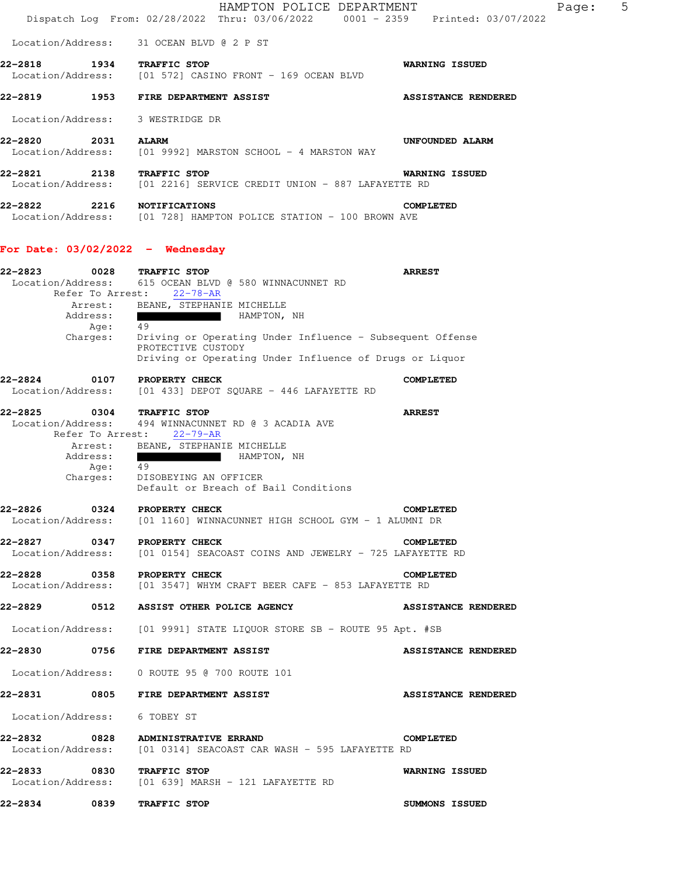|                              |                                         | HAMPTON POLICE DEPARTMENT<br>Dispatch Log From: 02/28/2022 Thru: 03/06/2022 0001 - 2359 Printed: 03/07/2022                                                             | Page:                      | 5 |
|------------------------------|-----------------------------------------|-------------------------------------------------------------------------------------------------------------------------------------------------------------------------|----------------------------|---|
| Location/Address:            |                                         | 31 OCEAN BLVD @ 2 P ST                                                                                                                                                  |                            |   |
| 22-2818<br>Location/Address: | 1934                                    | TRAFFIC STOP<br>[01 572] CASINO FRONT - 169 OCEAN BLVD                                                                                                                  | <b>WARNING ISSUED</b>      |   |
| 22-2819                      | 1953                                    | FIRE DEPARTMENT ASSIST                                                                                                                                                  | <b>ASSISTANCE RENDERED</b> |   |
| Location/Address:            |                                         | 3 WESTRIDGE DR                                                                                                                                                          |                            |   |
| 22-2820<br>Location/Address: | 2031                                    | <b>ALARM</b><br>[01 9992] MARSTON SCHOOL - 4 MARSTON WAY                                                                                                                | UNFOUNDED ALARM            |   |
| 22-2821<br>Location/Address: | 2138                                    | TRAFFIC STOP<br>[01 2216] SERVICE CREDIT UNION - 887 LAFAYETTE RD                                                                                                       | <b>WARNING ISSUED</b>      |   |
| 22–2822                      | 2216                                    | <b>NOTIFICATIONS</b><br>Location/Address: [01 728] HAMPTON POLICE STATION - 100 BROWN AVE                                                                               | <b>COMPLETED</b>           |   |
|                              |                                         | For Date: $03/02/2022 -$ Wednesday                                                                                                                                      |                            |   |
| 22-2823<br>Location/Address: | 0028<br>Refer To Arrest:                | TRAFFIC STOP<br>615 OCEAN BLVD @ 580 WINNACUNNET RD<br>$22 - 78 - AR$                                                                                                   | <b>ARREST</b>              |   |
|                              | Arrest:<br>Address:<br>Age:             | BEANE, STEPHANIE MICHELLE<br><u> Pilipinas kan kan pada 1999 dan pada 1999 dan pada 2001. Ang kanyang pada 2001 dan iaitu salah salah salah sa</u><br>HAMPTON, NH<br>49 |                            |   |
|                              | Charges:                                | Driving or Operating Under Influence - Subsequent Offense<br>PROTECTIVE CUSTODY<br>Driving or Operating Under Influence of Drugs or Liquor                              |                            |   |
| 22-2824<br>Location/Address: | 0107                                    | PROPERTY CHECK<br>[01 433] DEPOT SQUARE - 446 LAFAYETTE RD                                                                                                              | <b>COMPLETED</b>           |   |
| 22-2825<br>Location/Address: | 0304<br>Refer To Arrest:                | TRAFFIC STOP<br>494 WINNACUNNET RD @ 3 ACADIA AVE<br>$22 - 79 - AR$                                                                                                     | <b>ARREST</b>              |   |
|                              | Arrest:<br>Address:<br>Age:<br>Charges: | BEANE, STEPHANIE MICHELLE<br>HAMPTON, NH<br>p<br>49<br>DISOBEYING AN OFFICER                                                                                            |                            |   |
|                              |                                         | Default or Breach of Bail Conditions<br>22-2826 0324 PROPERTY CHECK                                                                                                     | <b>COMPLETED</b>           |   |
|                              |                                         | Location/Address: [01 1160] WINNACUNNET HIGH SCHOOL GYM - 1 ALUMNI DR                                                                                                   |                            |   |
|                              |                                         | 22-2827 0347 PROPERTY CHECK<br>Location/Address: [01 0154] SEACOAST COINS AND JEWELRY - 725 LAFAYETTE RD                                                                | COMPLETED                  |   |
|                              |                                         | 22-2828 0358 PROPERTY CHECK<br>Location/Address: [01 3547] WHYM CRAFT BEER CAFE - 853 LAFAYETTE RD                                                                      | COMPLETED                  |   |
|                              |                                         | 22-2829 0512 ASSIST OTHER POLICE AGENCY                                                                                                                                 | <b>ASSISTANCE RENDERED</b> |   |
|                              |                                         | Location/Address: [01 9991] STATE LIQUOR STORE SB - ROUTE 95 Apt. #SB                                                                                                   |                            |   |
|                              |                                         | 22-2830 0756 FIRE DEPARTMENT ASSIST                                                                                                                                     | <b>ASSISTANCE RENDERED</b> |   |
|                              |                                         | Location/Address: 0 ROUTE 95 @ 700 ROUTE 101                                                                                                                            |                            |   |
|                              |                                         | 22-2831 0805 FIRE DEPARTMENT ASSIST                                                                                                                                     | <b>ASSISTANCE RENDERED</b> |   |
| Location/Address: 6 TOBEY ST |                                         |                                                                                                                                                                         |                            |   |
|                              |                                         | 22-2832 0828 ADMINISTRATIVE ERRAND<br>Location/Address: [01 0314] SEACOAST CAR WASH - 595 LAFAYETTE RD                                                                  | <b>COMPLETED</b>           |   |
|                              |                                         | 22-2833 0830 TRAFFIC STOP<br>Location/Address: [01 639] MARSH - 121 LAFAYETTE RD                                                                                        | <b>WARNING ISSUED</b>      |   |
| 22-2834 0839                 |                                         | TRAFFIC STOP                                                                                                                                                            | <b>SUMMONS ISSUED</b>      |   |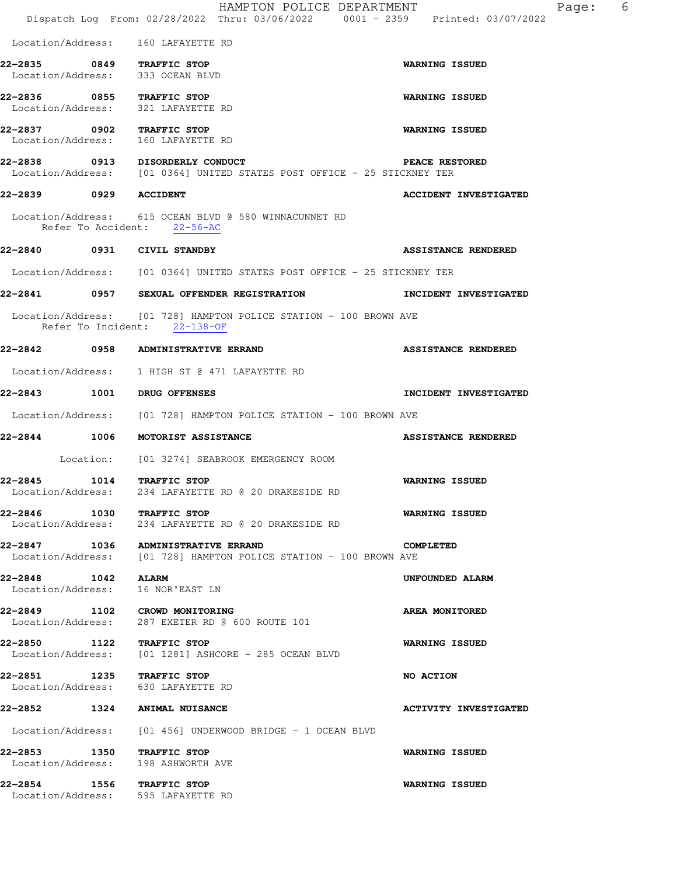|                              |                   | HAMPTON POLICE DEPARTMENT<br>Dispatch Log From: 02/28/2022 Thru: 03/06/2022 0001 - 2359 Printed: 03/07/2022 | - 6<br>Page:                 |
|------------------------------|-------------------|-------------------------------------------------------------------------------------------------------------|------------------------------|
|                              |                   | Location/Address: 160 LAFAYETTE RD                                                                          |                              |
| 22-2835 0849 TRAFFIC STOP    |                   | Location/Address: 333 OCEAN BLVD                                                                            | <b>WARNING ISSUED</b>        |
| 22-2836 0855 TRAFFIC STOP    |                   | Location/Address: 321 LAFAYETTE RD                                                                          | <b>WARNING ISSUED</b>        |
| 22-2837 0902 TRAFFIC STOP    |                   | Location/Address: 160 LAFAYETTE RD                                                                          | <b>WARNING ISSUED</b>        |
|                              |                   | 22-2838 0913 DISORDERLY CONDUCT<br>Location/Address: [01 0364] UNITED STATES POST OFFICE - 25 STICKNEY TER  | <b>PEACE RESTORED</b>        |
| 22-2839 0929 ACCIDENT        |                   |                                                                                                             | <b>ACCIDENT INVESTIGATED</b> |
|                              |                   | Location/Address: 615 OCEAN BLVD @ 580 WINNACUNNET RD<br>Refer To Accident: 22-56-AC                        |                              |
| 22-2840 0931 CIVIL STANDBY   |                   |                                                                                                             | <b>ASSISTANCE RENDERED</b>   |
|                              |                   | Location/Address: [01 0364] UNITED STATES POST OFFICE - 25 STICKNEY TER                                     |                              |
|                              |                   | 22-2841 0957 SEXUAL OFFENDER REGISTRATION                                                                   | INCIDENT INVESTIGATED        |
|                              |                   | Location/Address: [01 728] HAMPTON POLICE STATION - 100 BROWN AVE<br>Refer To Incident: 22-138-OF           |                              |
|                              |                   |                                                                                                             | <b>ASSISTANCE RENDERED</b>   |
|                              |                   | Location/Address: 1 HIGH ST @ 471 LAFAYETTE RD                                                              |                              |
| 22-2843 1001                 |                   | <b>DRUG OFFENSES</b>                                                                                        | INCIDENT INVESTIGATED        |
|                              |                   | Location/Address: [01 728] HAMPTON POLICE STATION - 100 BROWN AVE                                           |                              |
| 1006<br>22–2844              |                   | <b>MOTORIST ASSISTANCE</b>                                                                                  | <b>ASSISTANCE RENDERED</b>   |
|                              |                   | Location: [01 3274] SEABROOK EMERGENCY ROOM                                                                 |                              |
| 22-2845 1014 TRAFFIC STOP    |                   | Location/Address: 234 LAFAYETTE RD @ 20 DRAKESIDE RD                                                        | <b>WARNING ISSUED</b>        |
| 22-2846 1030 TRAFFIC STOP    |                   | Location/Address: 234 LAFAYETTE RD @ 20 DRAKESIDE RD                                                        | <b>WARNING ISSUED</b>        |
|                              |                   | 22-2847 1036 ADMINISTRATIVE ERRAND<br>Location/Address: [01 728] HAMPTON POLICE STATION - 100 BROWN AVE     | <b>COMPLETED</b>             |
| 22–2848<br>Location/Address: | <b>1042 ALARM</b> | 16 NOR'EAST LN                                                                                              | UNFOUNDED ALARM              |
| Location/Address:            |                   | 22-2849 1102 CROWD MONITORING<br>287 EXETER RD @ 600 ROUTE 101                                              | AREA MONITORED               |
| 22-2850 1122 TRAFFIC STOP    |                   | Location/Address: [01 1281] ASHCORE - 285 OCEAN BLVD                                                        | <b>WARNING ISSUED</b>        |
| 22-2851 1235 TRAFFIC STOP    |                   | Location/Address: 630 LAFAYETTE RD                                                                          | NO ACTION                    |
|                              |                   | 22-2852 1324 ANIMAL NUISANCE                                                                                | <b>ACTIVITY INVESTIGATED</b> |
|                              |                   | Location/Address: [01 456] UNDERWOOD BRIDGE - 1 OCEAN BLVD                                                  |                              |
| 22-2853 1350 TRAFFIC STOP    |                   | Location/Address: 198 ASHWORTH AVE                                                                          | <b>WARNING ISSUED</b>        |
| 22–2854                      |                   | 1556 TRAFFIC STOP<br>Location/Address: 595 LAFAYETTE RD                                                     | WARNING ISSUED               |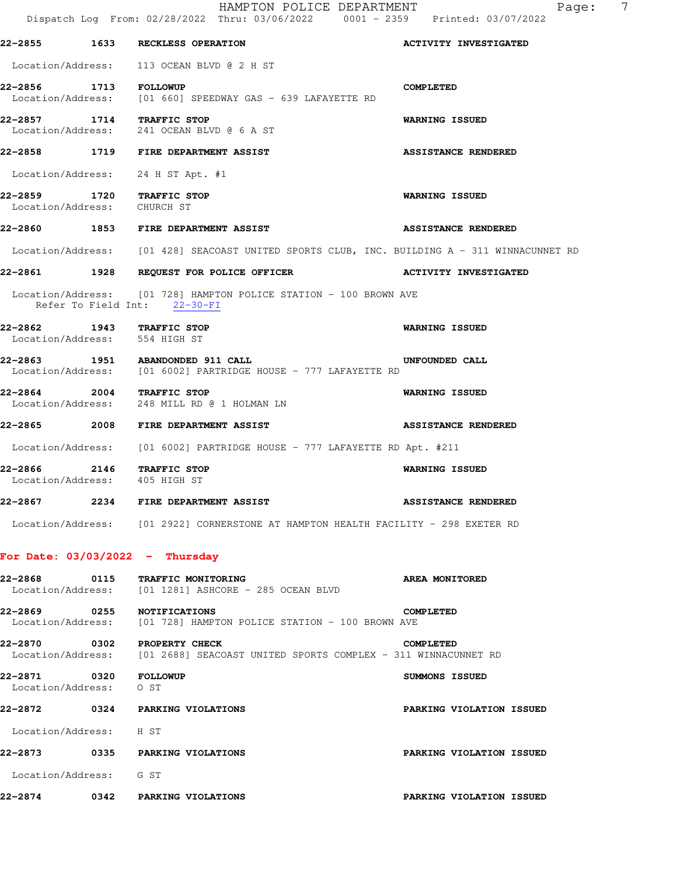|                                                            | HAMPTON POLICE DEPARTMENT<br>Dispatch Log From: 02/28/2022 Thru: 03/06/2022 0001 - 2359 Printed: 03/07/2022 | 7<br>Page:                   |
|------------------------------------------------------------|-------------------------------------------------------------------------------------------------------------|------------------------------|
|                                                            | 22-2855 1633 RECKLESS OPERATION                                                                             | <b>ACTIVITY INVESTIGATED</b> |
|                                                            | Location/Address: 113 OCEAN BLVD @ 2 H ST                                                                   |                              |
| 22-2856 1713 FOLLOWUP                                      | Location/Address: [01 660] SPEEDWAY GAS - 639 LAFAYETTE RD                                                  | <b>COMPLETED</b>             |
| 22-2857 1714 TRAFFIC STOP                                  | Location/Address: 241 OCEAN BLVD @ 6 A ST                                                                   | WARNING ISSUED               |
|                                                            | 22-2858 1719 FIRE DEPARTMENT ASSIST                                                                         | <b>ASSISTANCE RENDERED</b>   |
|                                                            | Location/Address: 24 H ST Apt. #1                                                                           |                              |
| 22-2859 1720 TRAFFIC STOP<br>Location/Address: CHURCH ST   |                                                                                                             | <b>WARNING ISSUED</b>        |
|                                                            | 22-2860 1853 FIRE DEPARTMENT ASSIST                                                                         | <b>ASSISTANCE RENDERED</b>   |
|                                                            | Location/Address: [01 428] SEACOAST UNITED SPORTS CLUB, INC. BUILDING A - 311 WINNACUNNET RD                |                              |
|                                                            | 22-2861 1928 REQUEST FOR POLICE OFFICER                                                                     | ACTIVITY INVESTIGATED        |
|                                                            | Location/Address: [01 728] HAMPTON POLICE STATION - 100 BROWN AVE<br>Refer To Field Int: 22-30-FI           |                              |
| 22-2862 1943 TRAFFIC STOP<br>Location/Address: 554 HIGH ST |                                                                                                             | <b>WARNING ISSUED</b>        |
|                                                            | 22-2863 1951 ABANDONDED 911 CALL<br>Location/Address: [01 6002] PARTRIDGE HOUSE - 777 LAFAYETTE RD          | UNFOUNDED CALL               |
| 22-2864 2004 TRAFFIC STOP                                  | Location/Address: 248 MILL RD @ 1 HOLMAN LN                                                                 | <b>WARNING ISSUED</b>        |
|                                                            | 22-2865 2008 FIRE DEPARTMENT ASSIST                                                                         | <b>ASSISTANCE RENDERED</b>   |
|                                                            | Location/Address: [01 6002] PARTRIDGE HOUSE - 777 LAFAYETTE RD Apt. #211                                    |                              |
| 22-2866 2146 TRAFFIC STOP<br>Location/Address: 405 HIGH ST |                                                                                                             | <b>WARNING ISSUED</b>        |
| 22-2867                                                    | 2234 FIRE DEPARTMENT ASSIST                                                                                 | <b>ASSISTANCE RENDERED</b>   |
|                                                            | Location/Address: [01 2922] CORNERSTONE AT HAMPTON HEALTH FACILITY - 298 EXETER RD                          |                              |
| For Date: $03/03/2022 -$ Thursday                          |                                                                                                             |                              |
| 22-2868                                                    | 0115 TRAFFIC MONITORING<br>Location/Address: [01 1281] ASHCORE - 285 OCEAN BLVD                             | <b>AREA MONITORED</b>        |
| 22-2869 0255 NOTIFICATIONS                                 | Location/Address: [01 728] HAMPTON POLICE STATION - 100 BROWN AVE                                           | <b>COMPLETED</b>             |
| 22-2870                                                    | 0302 PROPERTY CHECK<br>Location/Address: [01 2688] SEACOAST UNITED SPORTS COMPLEX - 311 WINNACUNNET RD      | <b>COMPLETED</b>             |
| 22-2871 0320 FOLLOWUP<br>Location/Address:                 | O ST                                                                                                        | SUMMONS ISSUED               |
|                                                            | 22-2872 0324 PARKING VIOLATIONS                                                                             | PARKING VIOLATION ISSUED     |
| Location/Address: H ST                                     |                                                                                                             |                              |
|                                                            | 22-2873 0335 PARKING VIOLATIONS                                                                             | PARKING VIOLATION ISSUED     |
| Location/Address: G ST                                     |                                                                                                             |                              |
| 22-2874                                                    | 0342 PARKING VIOLATIONS                                                                                     | PARKING VIOLATION ISSUED     |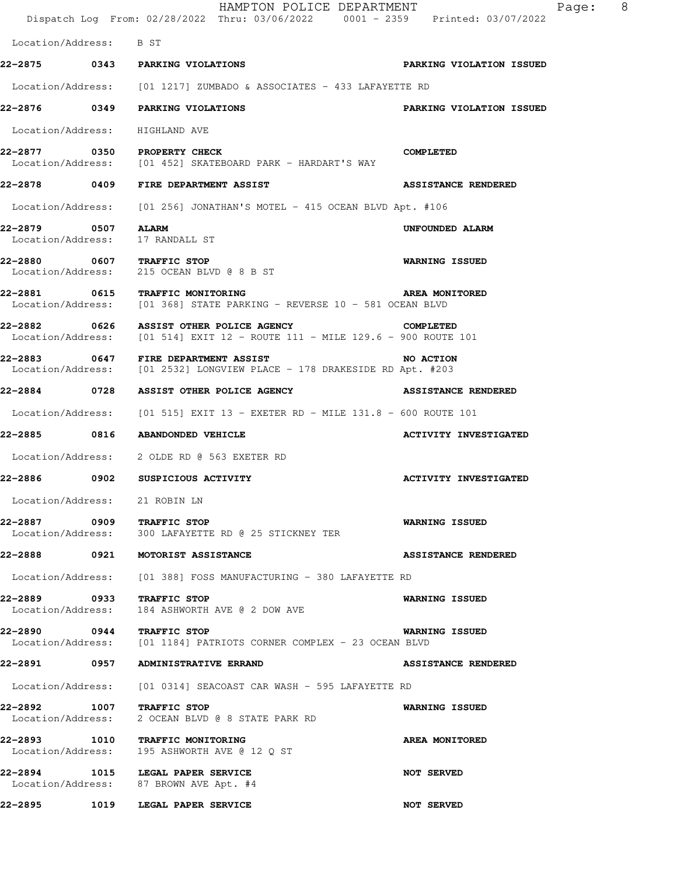Dispatch Log From: 02/28/2022 Thru: 03/06/2022 0001 - 2359 Printed: 03/07/2022 Location/Address: B ST **22-2875 0343 PARKING VIOLATIONS PARKING VIOLATION ISSUED**  Location/Address: [01 1217] ZUMBADO & ASSOCIATES - 433 LAFAYETTE RD **22-2876 0349 PARKING VIOLATIONS PARKING VIOLATION ISSUED**  Location/Address: HIGHLAND AVE **22-2877 0350 PROPERTY CHECK COMPLETED**  Location/Address: [01 452] SKATEBOARD PARK - HARDART'S WAY **22-2878 0409 FIRE DEPARTMENT ASSIST ASSISTANCE RENDERED**  Location/Address: [01 256] JONATHAN'S MOTEL - 415 OCEAN BLVD Apt. #106 **22-2879 0507 ALARM UNFOUNDED ALARM**  Location/Address: 17 RANDALL ST **22-2880 0607 TRAFFIC STOP WARNING ISSUED**  Location/Address: 215 OCEAN BLVD @ 8 B ST **22-2881 0615 TRAFFIC MONITORING AREA MONITORED**  Location/Address: [01 368] STATE PARKING - REVERSE 10 - 581 OCEAN BLVD **22-2882 0626 ASSIST OTHER POLICE AGENCY COMPLETED**<br>Location/Address: [01 514] EXIT 12 - ROUTE 111 - MILE 129.6 - 900 ROUTE [01 514] EXIT 12 - ROUTE 111 - MILE 129.6 - 900 ROUTE 101 **22-2883 0647 FIRE DEPARTMENT ASSIST NO ACTION**  Location/Address: [01 2532] LONGVIEW PLACE - 178 DRAKESIDE RD Apt. #203 **22-2884 0728 ASSIST OTHER POLICE AGENCY ASSISTANCE RENDERED**  Location/Address: [01 515] EXIT 13 - EXETER RD - MILE 131.8 - 600 ROUTE 101 22-2885 0816 ABANDONDED VEHICLE **ACTIVITY INVESTIGATED**  Location/Address: 2 OLDE RD @ 563 EXETER RD **22-2886 0902 SUSPICIOUS ACTIVITY ACTIVITY INVESTIGATED**  Location/Address: 21 ROBIN LN **22-2887 0909 TRAFFIC STOP WARNING ISSUED**  Location/Address: 300 LAFAYETTE RD @ 25 STICKNEY TER **22-2888 0921 MOTORIST ASSISTANCE ASSISTANCE RENDERED**  Location/Address: [01 388] FOSS MANUFACTURING - 380 LAFAYETTE RD **22-2889 0933 TRAFFIC STOP WARNING ISSUED**  Location/Address: 184 ASHWORTH AVE @ 2 DOW AVE **22-2890 0944 TRAFFIC STOP WARNING ISSUED**  Location/Address: [01 1184] PATRIOTS CORNER COMPLEX - 23 OCEAN BLVD **22-2891 0957 ADMINISTRATIVE ERRAND ASSISTANCE RENDERED**  Location/Address: [01 0314] SEACOAST CAR WASH - 595 LAFAYETTE RD **22-2892 1007 TRAFFIC STOP WARNING ISSUED**  Location/Address: 2 OCEAN BLVD @ 8 STATE PARK RD **22-2893 1010 TRAFFIC MONITORING 12 Q ST RAFEA MONITORED**<br>Location/Address: 195 ASHWORTH AVE @ 12 Q ST Location/Address: 195 ASHWORTH AVE @ 12 Q ST **22-2894 1015 LEGAL PAPER SERVICE NOT SERVED**  Location/Address: 87 BROWN AVE Apt. #4

**22-2895 1019 LEGAL PAPER SERVICE NOT SERVED** 

HAMPTON POLICE DEPARTMENT Fage: 8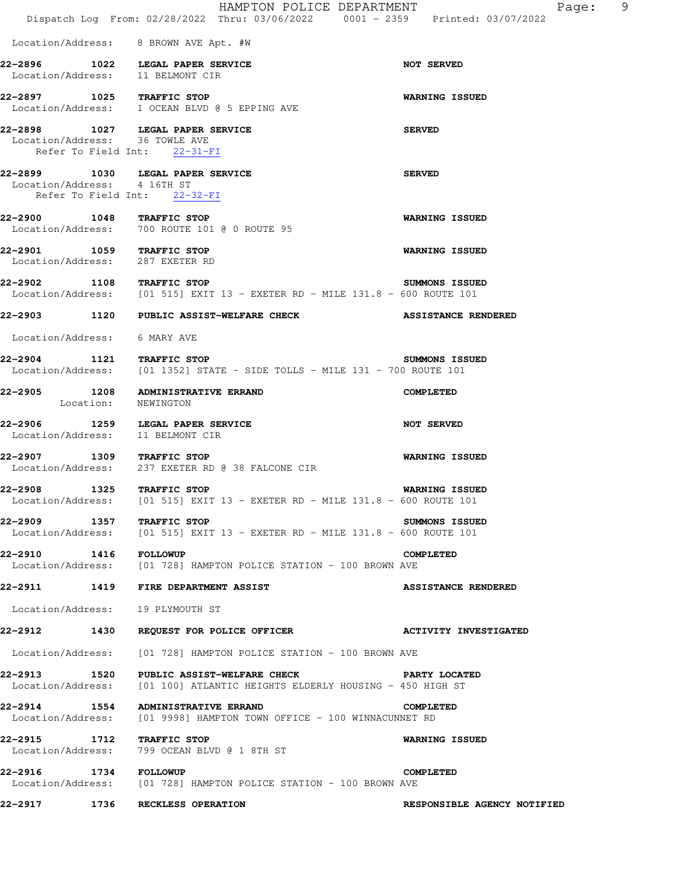|                                                              |      | HAMPTON POLICE DEPARTMENT<br>Dispatch Log From: 02/28/2022 Thru: 03/06/2022 0001 - 2359 Printed: 03/07/2022                         | - 9<br>Page:                |
|--------------------------------------------------------------|------|-------------------------------------------------------------------------------------------------------------------------------------|-----------------------------|
|                                                              |      | Location/Address: 8 BROWN AVE Apt. #W                                                                                               |                             |
|                                                              |      | 22-2896 1022 LEGAL PAPER SERVICE<br>Location/Address: 11 BELMONT CIR                                                                | <b>NOT SERVED</b>           |
| 22-2897 1025 TRAFFIC STOP                                    |      | Location/Address: 1 OCEAN BLVD @ 5 EPPING AVE                                                                                       | <b>WARNING ISSUED</b>       |
| Location/Address: 36 TOWLE AVE                               |      | 22-2898 1027 LEGAL PAPER SERVICE<br>Refer To Field Int: 22-31-FI                                                                    | <b>SERVED</b>               |
| Location/Address: 4 16TH ST                                  |      | 22-2899 1030 LEGAL PAPER SERVICE<br>Refer To Field Int: 22-32-FI                                                                    | <b>SERVED</b>               |
| 22-2900 1048 TRAFFIC STOP                                    |      | Location/Address: 700 ROUTE 101 @ 0 ROUTE 95                                                                                        | <b>WARNING ISSUED</b>       |
| 22-2901 1059 TRAFFIC STOP<br>Location/Address: 287 EXETER RD |      |                                                                                                                                     | <b>WARNING ISSUED</b>       |
| 22-2902 1108 TRAFFIC STOP                                    |      | Location/Address: [01 515] EXIT 13 - EXETER RD - MILE 131.8 - 600 ROUTE 101                                                         | SUMMONS ISSUED              |
|                                                              |      | 22-2903 1120 PUBLIC ASSIST-WELFARE CHECK                                                                                            | <b>ASSISTANCE RENDERED</b>  |
| Location/Address: 6 MARY AVE                                 |      |                                                                                                                                     |                             |
| 22-2904 1121 TRAFFIC STOP                                    |      | Location/Address: [01 1352] STATE - SIDE TOLLS - MILE 131 - 700 ROUTE 101                                                           | SUMMONS ISSUED              |
|                                                              |      | 22-2905 1208 ADMINISTRATIVE ERRAND<br>Location: NEWINGTON                                                                           | <b>COMPLETED</b>            |
|                                                              |      | 22-2906 1259 LEGAL PAPER SERVICE<br>Location/Address: 11 BELMONT CIR                                                                | <b>NOT SERVED</b>           |
| 22-2907 1309 TRAFFIC STOP                                    |      | Location/Address: 237 EXETER RD @ 38 FALCONE CIR                                                                                    | <b>WARNING ISSUED</b>       |
| 22-2908<br>Location/Address:                                 |      | 1325 TRAFFIC STOP<br>[01 515] EXIT 13 - EXETER RD - MILE 131.8 - 600 ROUTE 101                                                      | <b>WARNING ISSUED</b>       |
| 22-2909 1357 TRAFFIC STOP                                    |      | Location/Address: $[01\ 515]$ EXIT 13 - EXETER RD - MILE 131.8 - 600 ROUTE 101                                                      | SUMMONS ISSUED              |
| 22-2910 1416 FOLLOWUP                                        |      | Location/Address: [01 728] HAMPTON POLICE STATION - 100 BROWN AVE                                                                   | <b>COMPLETED</b>            |
|                                                              |      | 22-2911 1419 FIRE DEPARTMENT ASSIST                                                                                                 | <b>ASSISTANCE RENDERED</b>  |
|                                                              |      | Location/Address: 19 PLYMOUTH ST                                                                                                    |                             |
| 22-2912 1430                                                 |      | REQUEST FOR POLICE OFFICER ACTIVITY INVESTIGATED                                                                                    |                             |
|                                                              |      | Location/Address: [01 728] HAMPTON POLICE STATION - 100 BROWN AVE                                                                   |                             |
|                                                              |      | 22-2913 1520 PUBLIC ASSIST-WELFARE CHECK NARTY LOCATED<br>Location/Address: [01 100] ATLANTIC HEIGHTS ELDERLY HOUSING - 450 HIGH ST |                             |
|                                                              |      | 22-2914 1554 ADMINISTRATIVE ERRAND<br>Location/Address: [01 9998] HAMPTON TOWN OFFICE - 100 WINNACUNNET RD                          | COMPLETED                   |
| 22-2915 1712 TRAFFIC STOP                                    |      | Location/Address: 799 OCEAN BLVD @ 1 8TH ST                                                                                         | WARNING ISSUED              |
| 22-2916                                                      |      | 1734 FOLLOWUP<br>Location/Address: [01 728] HAMPTON POLICE STATION - 100 BROWN AVE                                                  | COMPLETED                   |
| 22-2917                                                      | 1736 | RECKLESS OPERATION                                                                                                                  | RESPONSIBLE AGENCY NOTIFIED |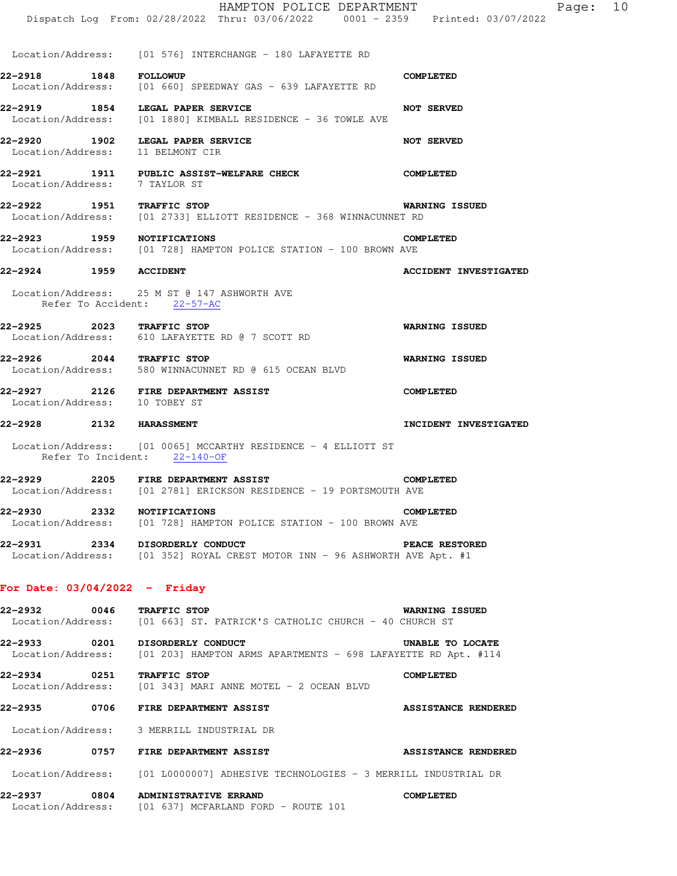|                                 |      | HAMPTON POLICE DEPARTMENT<br>Dispatch Log From: 02/28/2022 Thru: 03/06/2022 0001 - 2359 Printed: 03/07/2022        | Page: 10                     |
|---------------------------------|------|--------------------------------------------------------------------------------------------------------------------|------------------------------|
|                                 |      | Location/Address: [01 576] INTERCHANGE - 180 LAFAYETTE RD                                                          |                              |
| 22-2918                         |      | 1848 FOLLOWUP<br>Location/Address: [01 660] SPEEDWAY GAS - 639 LAFAYETTE RD                                        | <b>COMPLETED</b>             |
|                                 |      | 22-2919 1854 LEGAL PAPER SERVICE<br>Location/Address: [01 1880] KIMBALL RESIDENCE - 36 TOWLE AVE                   | <b>NOT SERVED</b>            |
|                                 |      | 22-2920 1902 LEGAL PAPER SERVICE<br>Location/Address: 11 BELMONT CIR                                               | <b>NOT SERVED</b>            |
| Location/Address: 7 TAYLOR ST   |      | 22-2921 1911 PUBLIC ASSIST-WELFARE CHECK                                                                           | <b>COMPLETED</b>             |
| 22-2922 1951 TRAFFIC STOP       |      | Location/Address: [01 2733] ELLIOTT RESIDENCE - 368 WINNACUNNET RD                                                 | <b>WARNING ISSUED</b>        |
| 22-2923 1959 NOTIFICATIONS      |      | Location/Address: [01 728] HAMPTON POLICE STATION - 100 BROWN AVE                                                  | COMPLETED                    |
| 22-2924 1959 ACCIDENT           |      |                                                                                                                    | <b>ACCIDENT INVESTIGATED</b> |
|                                 |      | Location/Address: 25 M ST @ 147 ASHWORTH AVE<br>Refer To Accident: 22-57-AC                                        |                              |
| 22-2925 2023 TRAFFIC STOP       |      | Location/Address: 610 LAFAYETTE RD @ 7 SCOTT RD                                                                    | <b>WARNING ISSUED</b>        |
|                                 |      | 22-2926 2044 TRAFFIC STOP<br>Location/Address: 580 WINNACUNNET RD @ 615 OCEAN BLVD                                 | <b>WARNING ISSUED</b>        |
| Location/Address: 10 TOBEY ST   |      | 22-2927 2126 FIRE DEPARTMENT ASSIST                                                                                | <b>COMPLETED</b>             |
| 22-2928 2132 HARASSMENT         |      |                                                                                                                    | INCIDENT INVESTIGATED        |
|                                 |      | Location/Address: [01 0065] MCCARTHY RESIDENCE - 4 ELLIOTT ST<br>Refer To Incident: 22-140-OF                      |                              |
|                                 |      | 22-2929 2205 FIRE DEPARTMENT ASSIST<br>Location/Address: [01 2781] ERICKSON RESIDENCE - 19 PORTSMOUTH AVE          | <b>COMPLETED</b>             |
| 22-2930 2332 NOTIFICATIONS      |      | Location/Address: [01 728] HAMPTON POLICE STATION - 100 BROWN AVE                                                  | <b>COMPLETED</b>             |
|                                 |      | 22-2931 2334 DISORDERLY CONDUCT<br>Location/Address: [01 352] ROYAL CREST MOTOR INN - 96 ASHWORTH AVE Apt. #1      | PEACE RESTORED               |
| For Date: $03/04/2022 -$ Friday |      |                                                                                                                    |                              |
| 22–2932                         | 0046 | TRAFFIC STOP<br>Location/Address: [01 663] ST. PATRICK'S CATHOLIC CHURCH - 40 CHURCH ST                            | <b>WARNING ISSUED</b>        |
|                                 |      | 22-2933 0201 DISORDERLY CONDUCT<br>Location/Address: [01 203] HAMPTON ARMS APARTMENTS - 698 LAFAYETTE RD Apt. #114 | UNABLE TO LOCATE             |
| 22-2934 0251 TRAFFIC STOP       |      | Location/Address: [01 343] MARI ANNE MOTEL - 2 OCEAN BLVD                                                          | <b>COMPLETED</b>             |
| 22–2935                         |      | 0706 FIRE DEPARTMENT ASSIST                                                                                        | <b>ASSISTANCE RENDERED</b>   |
|                                 |      | Location/Address: 3 MERRILL INDUSTRIAL DR                                                                          |                              |
| 22-2936                         |      | 0757 FIRE DEPARTMENT ASSIST                                                                                        | <b>ASSISTANCE RENDERED</b>   |
|                                 |      | Location/Address: [01 L0000007] ADHESIVE TECHNOLOGIES - 3 MERRILL INDUSTRIAL DR                                    |                              |
|                                 |      | 22-2937 0804 ADMINISTRATIVE ERRAND<br>Location/Address: [01 637] MCFARLAND FORD - ROUTE 101                        | <b>COMPLETED</b>             |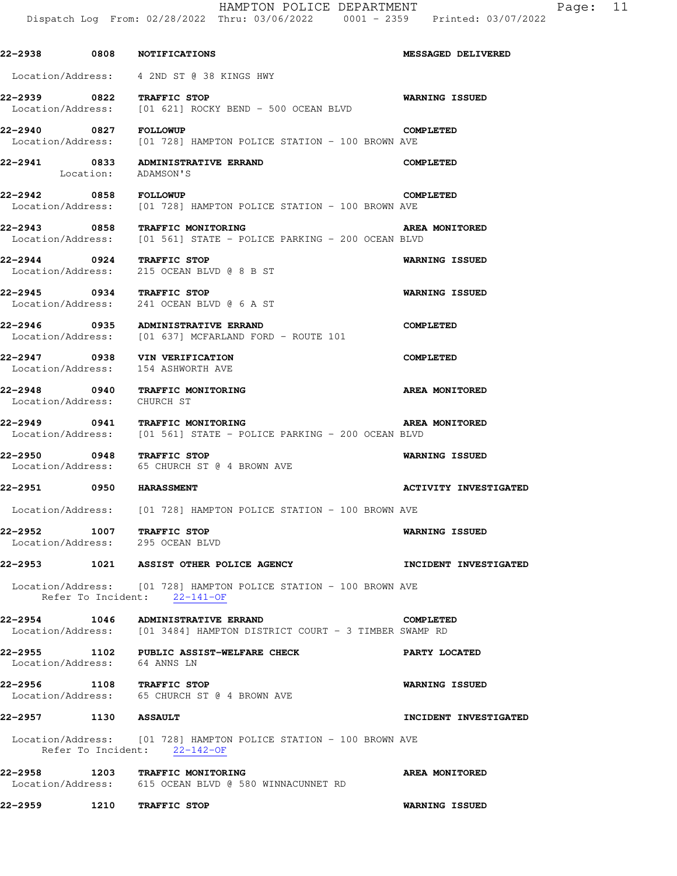| 22-2938 0808 NOTIFICATIONS     |      |                                                                                                              | <b>MESSAGED DELIVERED</b>    |
|--------------------------------|------|--------------------------------------------------------------------------------------------------------------|------------------------------|
|                                |      | Location/Address: 4 2ND ST @ 38 KINGS HWY                                                                    |                              |
| 22-2939 0822 TRAFFIC STOP      |      | Location/Address: [01 621] ROCKY BEND - 500 OCEAN BLVD                                                       | <b>WARNING ISSUED</b>        |
| 22-2940 0827                   |      | <b>FOLLOWUP</b><br>Location/Address: [01 728] HAMPTON POLICE STATION - 100 BROWN AVE                         | <b>COMPLETED</b>             |
|                                |      | 22-2941 0833 ADMINISTRATIVE ERRAND<br>Location: ADAMSON'S                                                    | <b>COMPLETED</b>             |
| 22-2942 0858 FOLLOWUP          |      | Location/Address: [01 728] HAMPTON POLICE STATION - 100 BROWN AVE                                            | COMPLETED                    |
|                                |      | 22-2943 0858 TRAFFIC MONITORING<br>Location/Address: [01 561] STATE - POLICE PARKING - 200 OCEAN BLVD        | AREA MONITORED               |
| 22-2944 0924 TRAFFIC STOP      |      | Location/Address: 215 OCEAN BLVD @ 8 B ST                                                                    | <b>WARNING ISSUED</b>        |
| 22-2945 0934 TRAFFIC STOP      |      | Location/Address: 241 OCEAN BLVD @ 6 A ST                                                                    | <b>WARNING ISSUED</b>        |
|                                |      | 22-2946 0935 ADMINISTRATIVE ERRAND<br>Location/Address: [01 637] MCFARLAND FORD - ROUTE 101                  | <b>COMPLETED</b>             |
| Location/Address:              |      | 22-2947 0938 VIN VERIFICATION<br>154 ASHWORTH AVE                                                            | <b>COMPLETED</b>             |
|                                |      | 22-2948 0940 TRAFFIC MONITORING<br>Location/Address: CHURCH ST                                               | <b>AREA MONITORED</b>        |
|                                |      | 22-2949 0941 TRAFFIC MONITORING<br>Location/Address: [01 561] STATE - POLICE PARKING - 200 OCEAN BLVD        | AREA MONITORED               |
| 22-2950 0948 TRAFFIC STOP      |      | Location/Address: 65 CHURCH ST @ 4 BROWN AVE                                                                 | <b>WARNING ISSUED</b>        |
| <b>22-2951 0950 HARASSMENT</b> |      |                                                                                                              | <b>ACTIVITY INVESTIGATED</b> |
|                                |      | Location/Address: [01 728] HAMPTON POLICE STATION - 100 BROWN AVE                                            |                              |
| 22–2952                        | 1007 | TRAFFIC STOP<br>Location/Address: 295 OCEAN BLVD                                                             | <b>WARNING ISSUED</b>        |
|                                |      | 22-2953 1021 ASSIST OTHER POLICE AGENCY                                                                      | INCIDENT INVESTIGATED        |
|                                |      | Location/Address: [01 728] HAMPTON POLICE STATION - 100 BROWN AVE<br>Refer To Incident: 22-141-OF            |                              |
|                                |      | 22-2954 1046 ADMINISTRATIVE ERRAND<br>Location/Address: [01 3484] HAMPTON DISTRICT COURT - 3 TIMBER SWAMP RD | <b>COMPLETED</b>             |
| Location/Address: 64 ANNS LN   |      | 22-2955 1102 PUBLIC ASSIST-WELFARE CHECK                                                                     | PARTY LOCATED                |
| 22-2956                        |      | 1108 TRAFFIC STOP<br>Location/Address: 65 CHURCH ST @ 4 BROWN AVE                                            | <b>WARNING ISSUED</b>        |
| 22-2957 1130 ASSAULT           |      |                                                                                                              | INCIDENT INVESTIGATED        |
|                                |      | Location/Address: [01 728] HAMPTON POLICE STATION - 100 BROWN AVE<br>Refer To Incident: 22-142-OF            |                              |
|                                |      | 22-2958 1203 TRAFFIC MONITORING<br>Location/Address: 615 OCEAN BLVD @ 580 WINNACUNNET RD                     | AREA MONITORED               |

**22-2959 1210 TRAFFIC STOP WARNING ISSUED**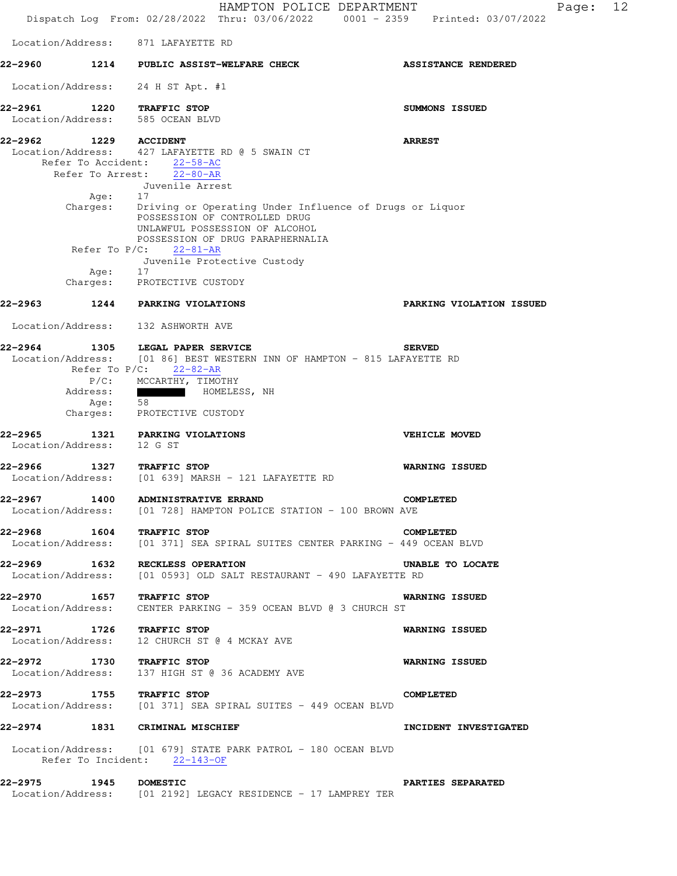HAMPTON POLICE DEPARTMENT Fage: 12 Dispatch Log From: 02/28/2022 Thru: 03/06/2022 0001 - 2359 Printed: 03/07/2022 Location/Address: 871 LAFAYETTE RD **22-2960 1214 PUBLIC ASSIST-WELFARE CHECK ASSISTANCE RENDERED**  Location/Address: 24 H ST Apt. #1 **22-2961 1220 TRAFFIC STOP SUMMONS ISSUED**  Location/Address: 585 OCEAN BLVD **22-2962 1229 ACCIDENT ARREST**  Location/Address: 427 LAFAYETTE RD @ 5 SWAIN CT Refer To Accident: 22-58-AC Refer To Arrest: 22-80-AR Juvenile Arrest Age: Charges: Driving or Operating Under Influence of Drugs or Liquor POSSESSION OF CONTROLLED DRUG UNLAWFUL POSSESSION OF ALCOHOL POSSESSION OF DRUG PARAPHERNALIA Refer To P/C: 22-81-AR Juvenile Protective Custody Age: Charges: PROTECTIVE CUSTODY **22-2963 1244 PARKING VIOLATIONS PARKING VIOLATION ISSUED**  Location/Address: 132 ASHWORTH AVE **22-2964 1305 LEGAL PAPER SERVICE SERVED**  Location/Address: [01 86] BEST WESTERN INN OF HAMPTON - 815 LAFAYETTE RD Refer To P/C: 22-82-AR P/C: MCCARTHY, TIMOTHY Address: HOMELESS, NH Age: 58 Charges: PROTECTIVE CUSTODY **22-2965 1321 PARKING VIOLATIONS VEHICLE MOVED**  Location/Address: 12 G ST **22-2966 1327 TRAFFIC STOP WARNING ISSUED**<br>Location/Address: [01 639] MARSH - 121 LAFAYETTE RD  $[01 639]$  MARSH - 121 LAFAYETTE RD **22-2967 1400 ADMINISTRATIVE ERRAND COMPLETED**  Location/Address: [01 728] HAMPTON POLICE STATION - 100 BROWN AVE **22-2968 1604 TRAFFIC STOP COMPLETED**  Location/Address: [01 371] SEA SPIRAL SUITES CENTER PARKING - 449 OCEAN BLVD **22-2969 1632 RECKLESS OPERATION UNABLE TO LOCATE**  Location/Address: [01 0593] OLD SALT RESTAURANT - 490 LAFAYETTE RD **22-2970 1657 TRAFFIC STOP WARNING ISSUED**  Location/Address: CENTER PARKING - 359 OCEAN BLVD @ 3 CHURCH ST **22-2971 1726 TRAFFIC STOP WARNING ISSUED**  Location/Address: 12 CHURCH ST @ 4 MCKAY AVE **22-2972 1730 TRAFFIC STOP WARNING ISSUED**  Location/Address: 137 HIGH ST @ 36 ACADEMY AVE **22-2973 1755 TRAFFIC STOP COMPLETED**  Location/Address: [01 371] SEA SPIRAL SUITES - 449 OCEAN BLVD **22-2974 1831 CRIMINAL MISCHIEF INCIDENT INVESTIGATED**  Location/Address: [01 679] STATE PARK PATROL - 180 OCEAN BLVD Refer To Incident: 22-143-OF **22-2975 1945 DOMESTIC PARTIES SEPARATED**  Location/Address: [01 2192] LEGACY RESIDENCE - 17 LAMPREY TER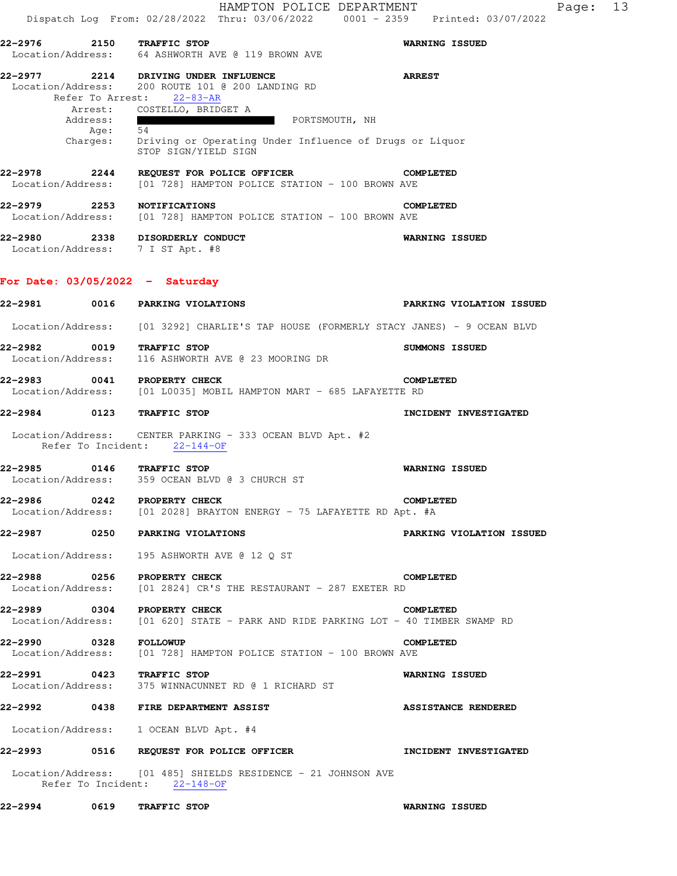| 22-2976        |                       | 2150 TRAFFIC STOP                                                                                                | <b>WARNING ISSUED</b>           |
|----------------|-----------------------|------------------------------------------------------------------------------------------------------------------|---------------------------------|
|                |                       | Location/Address: 64 ASHWORTH AVE @ 119 BROWN AVE                                                                |                                 |
| 22–2977        |                       | 2214 DRIVING UNDER INFLUENCE                                                                                     | <b>ARREST</b>                   |
|                |                       | Location/Address: 200 ROUTE 101 @ 200 LANDING RD<br>Refer To Arrest: 22-83-AR                                    |                                 |
|                |                       | Arrest: COSTELLO, BRIDGET A                                                                                      |                                 |
|                | Address:<br>Age:      | <b>PORTSMOUTH, NH</b><br>54                                                                                      |                                 |
|                |                       | Charges: Driving or Operating Under Influence of Drugs or Liquor<br>STOP SIGN/YIELD SIGN                         |                                 |
|                |                       | 22-2978 2244 REQUEST FOR POLICE OFFICER<br>Location/Address: [01 728] HAMPTON POLICE STATION - 100 BROWN AVE     | <b>COMPLETED</b>                |
|                |                       | 22-2979 2253 NOTIFICATIONS<br>Location/Address: [01 728] HAMPTON POLICE STATION - 100 BROWN AVE                  | <b>COMPLETED</b>                |
|                |                       | 22-2980 2338 DISORDERLY CONDUCT<br>Location/Address: 7 I ST Apt. #8                                              | WARNING ISSUED                  |
|                |                       | For Date: $03/05/2022 -$ Saturday                                                                                |                                 |
|                |                       | 22-2981 0016 PARKING VIOLATIONS                                                                                  | <b>PARKING VIOLATION ISSUED</b> |
|                |                       | Location/Address: [01 3292] CHARLIE'S TAP HOUSE (FORMERLY STACY JANES) - 9 OCEAN BLVD                            |                                 |
|                |                       | 22-2982 0019 TRAFFIC STOP<br>Location/Address: 116 ASHWORTH AVE @ 23 MOORING DR                                  | SUMMONS ISSUED                  |
| 22-2983        |                       | 0041 PROPERTY CHECK<br>Location/Address: [01 L0035] MOBIL HAMPTON MART - 685 LAFAYETTE RD                        | <b>COMPLETED</b>                |
|                |                       | 22-2984 0123 TRAFFIC STOP                                                                                        | INCIDENT INVESTIGATED           |
|                |                       | Location/Address: CENTER PARKING - 333 OCEAN BLVD Apt. #2<br>Refer To Incident: 22-144-OF                        |                                 |
|                |                       | 22-2985 0146 TRAFFIC STOP<br>Location/Address: 359 OCEAN BLVD @ 3 CHURCH ST                                      | <b>WARNING ISSUED</b>           |
| 22-2986        |                       | 0242 PROPERTY CHECK<br>Location/Address: [01 2028] BRAYTON ENERGY - 75 LAFAYETTE RD Apt. #A                      | COMPLETED                       |
| 22–2987 — 1990 |                       | 0250 PARKING VIOLATIONS                                                                                          | PARKING VIOLATION ISSUED        |
|                |                       | Location/Address: 195 ASHWORTH AVE @ 12 Q ST                                                                     |                                 |
|                |                       | 22-2988 0256 PROPERTY CHECK<br>Location/Address: [01 2824] CR'S THE RESTAURANT - 287 EXETER RD                   | <b>COMPLETED</b>                |
|                |                       | 22-2989 0304 PROPERTY CHECK<br>Location/Address: [01 620] STATE - PARK AND RIDE PARKING LOT - 40 TIMBER SWAMP RD | <b>COMPLETED</b>                |
|                | 22-2990 0328 FOLLOWUP | Location/Address: [01 728] HAMPTON POLICE STATION - 100 BROWN AVE                                                | <b>COMPLETED</b>                |
|                |                       | 22-2991 0423 TRAFFIC STOP<br>Location/Address: 375 WINNACUNNET RD @ 1 RICHARD ST                                 | <b>WARNING ISSUED</b>           |
| 22–2992        |                       | 0438 FIRE DEPARTMENT ASSIST                                                                                      | <b>ASSISTANCE RENDERED</b>      |
|                |                       | Location/Address: 1 OCEAN BLVD Apt. #4                                                                           |                                 |
|                |                       |                                                                                                                  | INCIDENT INVESTIGATED           |
|                |                       | Location/Address: [01 485] SHIELDS RESIDENCE - 21 JOHNSON AVE<br>Refer To Incident: 22-148-OF                    |                                 |
|                |                       | 22-2994 0619 TRAFFIC STOP                                                                                        | <b>WARNING ISSUED</b>           |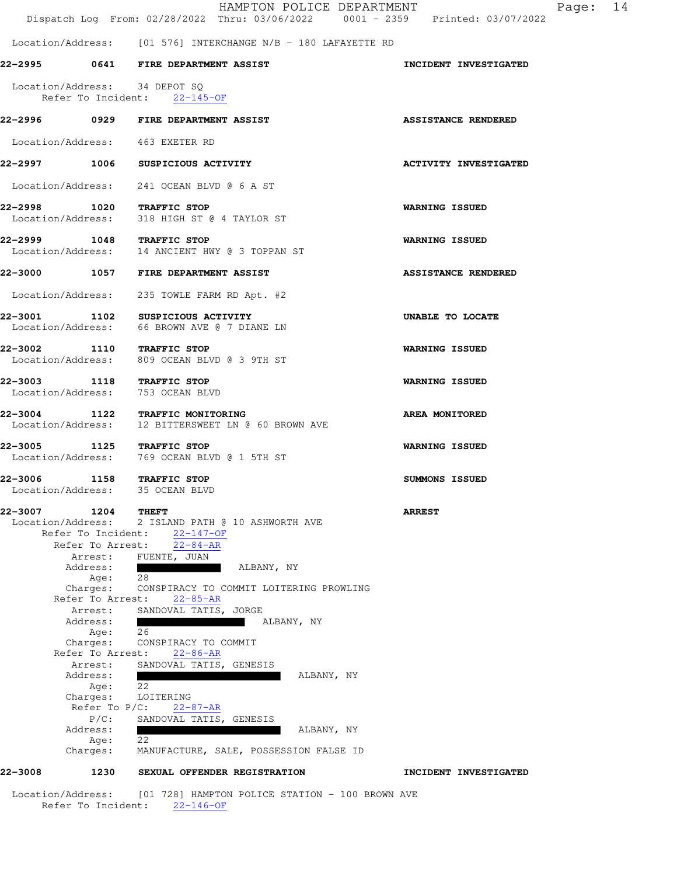HAMPTON POLICE DEPARTMENT Fage: 14 Dispatch Log From: 02/28/2022 Thru: 03/06/2022 0001 - 2359 Printed: 03/07/2022 Location/Address: [01 576] INTERCHANGE N/B - 180 LAFAYETTE RD **22-2995 0641 FIRE DEPARTMENT ASSIST INCIDENT INVESTIGATED**  Location/Address: 34 DEPOT SQ Refer To Incident: 22-145-OF **22-2996 0929 FIRE DEPARTMENT ASSIST ASSISTANCE RENDERED**  Location/Address: 463 EXETER RD **22-2997 1006 SUSPICIOUS ACTIVITY ACTIVITY INVESTIGATED**  Location/Address: 241 OCEAN BLVD @ 6 A ST **22-2998 1020 TRAFFIC STOP WARNING ISSUED**  Location/Address: 318 HIGH ST @ 4 TAYLOR ST **22-2999 1048 TRAFFIC STOP WARNING ISSUED**  Location/Address: 14 ANCIENT HWY @ 3 TOPPAN ST **22-3000 1057 FIRE DEPARTMENT ASSIST ASSISTANCE RENDERED**  Location/Address: 235 TOWLE FARM RD Apt. #2 **22-3001 1102 SUSPICIOUS ACTIVITY 120 DIABLE TO LOCATE** Location/Address: 66 BROWN AVE @ 7 DIANE LN 66 BROWN AVE @ 7 DIANE LN **22-3002 1110 TRAFFIC STOP WARNING ISSUED**  Location/Address: 809 OCEAN BLVD @ 3 9TH ST **22-3003 1118 TRAFFIC STOP WARNING ISSUED**  Location/Address: 753 OCEAN BLVD **22-3004 1122 TRAFFIC MONITORING AREA MONITORED**  Location/Address: 12 BITTERSWEET LN @ 60 BROWN AVE **22-3005 1125 TRAFFIC STOP WARNING ISSUED**  Location/Address: 769 OCEAN BLVD @ 1 5TH ST 22-3006 1158 TRAFFIC STOP **1158 SUMMONS ISSUED**  Location/Address: 35 OCEAN BLVD **22-3007 1204 THEFT ARREST**  Location/Address: 2 ISLAND PATH @ 10 ASHWORTH AVE Refer To Incident: 22-147-OF Refer To Arrest: 22-84-AR Arrest: FUENTE, JUAN Address: ALBANY, NY Age: 28 Charges: CONSPIRACY TO COMMIT LOITERING PROWLING Refer To Arrest: 22-85-AR Arrest: SANDOVAL TATIS, JORGE Address: Address: No. 2016 2017 11:30 ALBANY, NY Age: 26 Charges: CONSPIRACY TO COMMIT Refer To Arrest: 22-86-AR Arrest: SANDOVAL TATIS, GENESIS Address: ALBANY, NY Age: 22 Charges: LOITERING Refer To P/C: 22-87-AR P/C: SANDOVAL TATIS, GENESIS Address: ALBANY, NY

#### **22-3008 1230 SEXUAL OFFENDER REGISTRATION INCIDENT INVESTIGATED**

Age:  $2\overline{2}$ 

 Location/Address: [01 728] HAMPTON POLICE STATION - 100 BROWN AVE Refer To Incident: 22-146-OF

Charges: MANUFACTURE, SALE, POSSESSION FALSE ID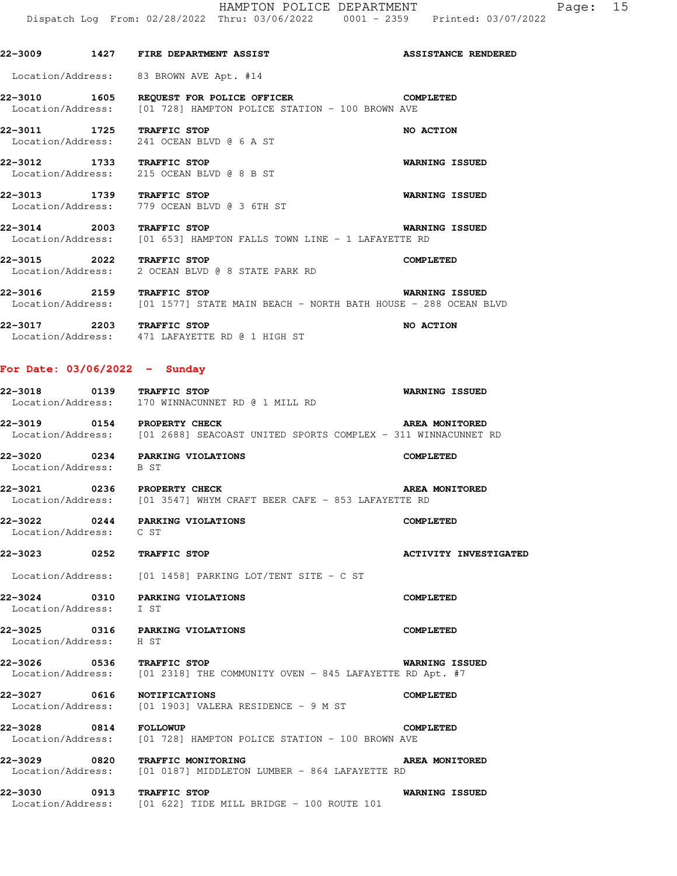# **22-3009 1427 FIRE DEPARTMENT ASSIST ASSISTANCE RENDERED**

Location/Address: 83 BROWN AVE Apt. #14

**22-3010 1605 REQUEST FOR POLICE OFFICER COMPLETED**  Location/Address: [01 728] HAMPTON POLICE STATION - 100 BROWN AVE

**22-3011 1725 TRAFFIC STOP NO ACTION**  Location/Address: 241 OCEAN BLVD @ 6 A ST

**22-3012 1733 TRAFFIC STOP WARNING ISSUED**  Location/Address: 215 OCEAN BLVD @ 8 B ST

**22-3013 1739 TRAFFIC STOP WARNING ISSUED**  Location/Address: 779 OCEAN BLVD @ 3 6TH ST

**22-3014 2003 TRAFFIC STOP WARNING ISSUED**  Location/Address: [01 653] HAMPTON FALLS TOWN LINE - 1 LAFAYETTE RD

**22-3015 2022 TRAFFIC STOP COMPLETED**  Location/Address: 2 OCEAN BLVD @ 8 STATE PARK RD

**22-3016 2159 TRAFFIC STOP WARNING ISSUED**  [01 1577] STATE MAIN BEACH - NORTH BATH HOUSE - 288 OCEAN BLVD

**22-3017** 2203 TRAFFIC STOP **NO ACTION** Location/Address: 471 LAFAYETTE RD @ 1 HIGH ST

### **For Date: 03/06/2022 - Sunday**

| 22-3018<br>Location/Address: | 0139 | <b>WARNING ISSUED</b><br>TRAFFIC STOP<br>170 WINNACUNNET RD @ 1 MILL RD            |  |
|------------------------------|------|------------------------------------------------------------------------------------|--|
| 22-3019                      | 0154 | PROPERTY CHECK<br>AREA MONITORED                                                   |  |
|                              |      | Togotion (Addresse) - 101 06001 CEACOACE UNITER COOPS COMPIEV - 211 MINUACUNUER DD |  |

Location/Address: [01 2688] SEACOAST UNITED SPORTS COMPLEX - 311 WINNACUNNET RD

**22-3020 0234 PARKING VIOLATIONS COMPLETED**  Location/Address: B ST

**22-3021** 0236 PROPERTY CHECK **AREA MONITORED** Location/Address: [01 3547] WHYM CRAFT BEER CAFE - 853 LAFAYETTE RD

#### **22-3022 0244 PARKING VIOLATIONS COMPLETED**  Location/Address: C ST

#### **22-3023 0252 TRAFFIC STOP ACTIVITY INVESTIGATED**

Location/Address: [01 1458] PARKING LOT/TENT SITE - C ST

**22-3024 0310 PARKING VIOLATIONS COMPLETED**  Location/Address: I ST

**22-3025 0316 PARKING VIOLATIONS COMPLETED**  Location/Address: H ST

## **22-3026 0536 TRAFFIC STOP WARNING ISSUED**  Location/Address: [01 2318] THE COMMUNITY OVEN - 845 LAFAYETTE RD Apt. #7

**22-3027 0616 NOTIFICATIONS COMPLETED**  Location/Address: [01 1903] VALERA RESIDENCE - 9 M ST

**22-3028 0814 FOLLOWUP COMPLETED**  Location/Address: [01 728] HAMPTON POLICE STATION - 100 BROWN AVE

**22-3029 0820 TRAFFIC MONITORING AREA MONITORED**  Location/Address: [01 0187] MIDDLETON LUMBER - 864 LAFAYETTE RD

**22-3030 0913 TRAFFIC STOP WARNING ISSUED**  Location/Address: [01 622] TIDE MILL BRIDGE - 100 ROUTE 101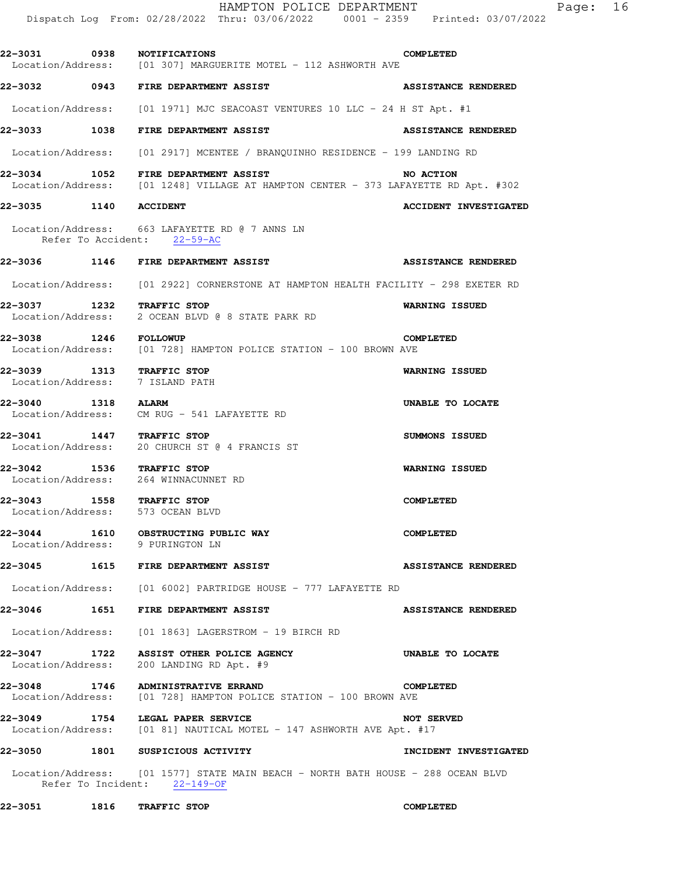|                              |      | HAMPTON POLICE DEPARTMENT<br>Dispatch Log From: 02/28/2022 Thru: 03/06/2022 0001 - 2359 Printed: 03/07/2022                         | Page:                        | 16 |
|------------------------------|------|-------------------------------------------------------------------------------------------------------------------------------------|------------------------------|----|
|                              |      | 22-3031 0938 NOTIFICATIONS<br>Location/Address: [01 307] MARGUERITE MOTEL - 112 ASHWORTH AVE                                        | <b>COMPLETED</b>             |    |
|                              |      | 22-3032 0943 FIRE DEPARTMENT ASSIST                                                                                                 | <b>ASSISTANCE RENDERED</b>   |    |
|                              |      | Location/Address: [01 1971] MJC SEACOAST VENTURES 10 LLC - 24 H ST Apt. #1                                                          |                              |    |
|                              |      | 22-3033 1038 FIRE DEPARTMENT ASSIST                                                                                                 | <b>ASSISTANCE RENDERED</b>   |    |
|                              |      | Location/Address: [01 2917] MCENTEE / BRANQUINHO RESIDENCE - 199 LANDING RD                                                         |                              |    |
|                              |      | 22-3034 1052 FIRE DEPARTMENT ASSIST NO ACTION<br>Location/Address: [01 1248] VILLAGE AT HAMPTON CENTER - 373 LAFAYETTE RD Apt. #302 |                              |    |
| 22-3035 1140 ACCIDENT        |      |                                                                                                                                     | <b>ACCIDENT INVESTIGATED</b> |    |
|                              |      | Location/Address: 663 LAFAYETTE RD @ 7 ANNS LN<br>Refer To Accident: 22-59-AC                                                       |                              |    |
|                              |      | 22-3036 1146 FIRE DEPARTMENT ASSIST                                                                                                 | <b>ASSISTANCE RENDERED</b>   |    |
|                              |      | Location/Address: [01 2922] CORNERSTONE AT HAMPTON HEALTH FACILITY - 298 EXETER RD                                                  |                              |    |
|                              |      | 22-3037 1232 TRAFFIC STOP<br>Location/Address: 2 OCEAN BLVD @ 8 STATE PARK RD                                                       | <b>WARNING ISSUED</b>        |    |
| 22-3038 1246 FOLLOWUP        |      | Location/Address: [01 728] HAMPTON POLICE STATION - 100 BROWN AVE                                                                   | <b>COMPLETED</b>             |    |
|                              |      | 22-3039 1313 TRAFFIC STOP<br>Location/Address: 7 ISLAND PATH                                                                        | WARNING ISSUED               |    |
| 22-3040 1318 ALARM           |      | Location/Address: CM RUG - 541 LAFAYETTE RD                                                                                         | UNABLE TO LOCATE             |    |
|                              |      | 22-3041 1447 TRAFFIC STOP<br>Location/Address: 20 CHURCH ST @ 4 FRANCIS ST                                                          | <b>SUMMONS ISSUED</b>        |    |
|                              |      | 22-3042 1536 TRAFFIC STOP<br>Location/Address: 264 WINNACUNNET RD                                                                   | WARNING ISSUED               |    |
| 22-3043<br>Location/Address: | 1558 | <b>TRAFFIC STOP</b><br>573 OCEAN BLVD                                                                                               | <b>COMPLETED</b>             |    |
|                              |      | 22-3044 1610 OBSTRUCTING PUBLIC WAY<br>Location/Address: 9 PURINGTON LN                                                             | <b>COMPLETED</b>             |    |
| 22-3045                      |      | <b>1615 FIRE DEPARTMENT ASSIST</b>                                                                                                  | <b>ASSISTANCE RENDERED</b>   |    |
|                              |      | Location/Address: [01 6002] PARTRIDGE HOUSE - 777 LAFAYETTE RD                                                                      |                              |    |
|                              |      | 22-3046  1651 FIRE DEPARTMENT ASSIST                                                                                                | <b>ASSISTANCE RENDERED</b>   |    |
|                              |      | Location/Address: [01 1863] LAGERSTROM - 19 BIRCH RD                                                                                |                              |    |
| Location/Address:            |      | 22-3047 1722 ASSIST OTHER POLICE AGENCY<br>200 LANDING RD Apt. #9                                                                   | UNABLE TO LOCATE             |    |
|                              |      | 22-3048 1746 ADMINISTRATIVE ERRAND<br>Location/Address: [01 728] HAMPTON POLICE STATION - 100 BROWN AVE                             | <b>COMPLETED</b>             |    |
| 22–3049                      |      | 1754 LEGAL PAPER SERVICE<br>Location/Address: [01 81] NAUTICAL MOTEL - 147 ASHWORTH AVE Apt. #17                                    | <b>NOT SERVED</b>            |    |
|                              |      | 22-3050 1801 SUSPICIOUS ACTIVITY                                                                                                    | INCIDENT INVESTIGATED        |    |
|                              |      | Location/Address: [01 1577] STATE MAIN BEACH - NORTH BATH HOUSE - 288 OCEAN BLVD<br>Refer To Incident: 22-149-OF                    |                              |    |

**22-3051 1816 TRAFFIC STOP COMPLETED**